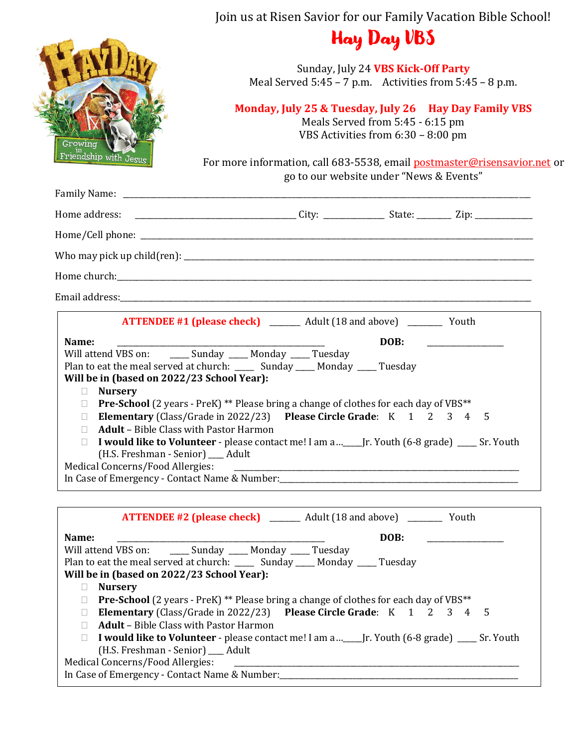|                                                                                                                                                                                                                   | Join us at Risen Savior for our Family Vacation Bible School!                                                                                                                                                                                                                                                                                                                                                                                                                                                               |
|-------------------------------------------------------------------------------------------------------------------------------------------------------------------------------------------------------------------|-----------------------------------------------------------------------------------------------------------------------------------------------------------------------------------------------------------------------------------------------------------------------------------------------------------------------------------------------------------------------------------------------------------------------------------------------------------------------------------------------------------------------------|
|                                                                                                                                                                                                                   | <b>Hay Day VBS</b>                                                                                                                                                                                                                                                                                                                                                                                                                                                                                                          |
|                                                                                                                                                                                                                   | Sunday, July 24 VBS Kick-Off Party<br>Meal Served $5:45 - 7$ p.m. Activities from $5:45 - 8$ p.m.                                                                                                                                                                                                                                                                                                                                                                                                                           |
| Growing                                                                                                                                                                                                           | Monday, July 25 & Tuesday, July 26 Hay Day Family VBS<br>Meals Served from 5:45 - 6:15 pm<br>VBS Activities from 6:30 - 8:00 pm                                                                                                                                                                                                                                                                                                                                                                                             |
| in<br>Triendship with Jesus                                                                                                                                                                                       | For more information, call 683-5538, email postmaster@risensavior.net or<br>go to our website under "News & Events"                                                                                                                                                                                                                                                                                                                                                                                                         |
|                                                                                                                                                                                                                   |                                                                                                                                                                                                                                                                                                                                                                                                                                                                                                                             |
|                                                                                                                                                                                                                   |                                                                                                                                                                                                                                                                                                                                                                                                                                                                                                                             |
|                                                                                                                                                                                                                   |                                                                                                                                                                                                                                                                                                                                                                                                                                                                                                                             |
|                                                                                                                                                                                                                   |                                                                                                                                                                                                                                                                                                                                                                                                                                                                                                                             |
|                                                                                                                                                                                                                   |                                                                                                                                                                                                                                                                                                                                                                                                                                                                                                                             |
|                                                                                                                                                                                                                   |                                                                                                                                                                                                                                                                                                                                                                                                                                                                                                                             |
| Name:<br>Will be in (based on 2022/23 School Year):<br><b>Nursery</b><br><b>Adult</b> - Bible Class with Pastor Harmon<br>$\mathbb{R}^n$<br>(H.S. Freshman - Senior) __ Adult<br>Medical Concerns/Food Allergies: | DOB:<br>Will attend VBS on: _______ Sunday _____ Monday _____ Tuesday<br>Plan to eat the meal served at church: _____ Sunday ____ Monday ____ Tuesday<br>$\Box$ Pre-School (2 years - PreK) ** Please bring a change of clothes for each day of VBS**<br>□ Elementary (Class/Grade in 2022/23) Please Circle Grade: K 1 2 3 4<br>5<br>I would like to Volunteer - please contact me! I am a_____ Jr. Youth (6-8 grade) _____ Sr. Youth<br>In Case of Emergency - Contact Name & Number: ___________________________________ |
|                                                                                                                                                                                                                   | <b>ATTENDEE #2 (please check)</b> ________ Adult (18 and above) ________ Youth                                                                                                                                                                                                                                                                                                                                                                                                                                              |
| Name:<br>Will be in (based on 2022/23 School Year):<br><b>Nursery</b>                                                                                                                                             | DOB:<br>Will attend VBS on: _______ Sunday _____ Monday _____ Tuesday<br>Plan to eat the meal served at church: ______ Sunday _____ Monday ____ Tuesday                                                                                                                                                                                                                                                                                                                                                                     |
| $\Box$ <b>Adult</b> – Bible Class with Pastor Harmon<br>(H.S. Freshman - Senior) __ Adult<br>Medical Concerns/Food Allergies:                                                                                     | <b>Pre-School</b> (2 years - PreK) ** Please bring a change of clothes for each day of VBS**<br>□ Elementary (Class/Grade in 2022/23) Please Circle Grade: K 1 2 3 4<br>5<br>□ I would like to Volunteer - please contact me! I am a______ Jr. Youth (6-8 grade) ______ Sr. Youth                                                                                                                                                                                                                                           |

In Case of Emergency - Contact Name & Number:\_\_\_\_\_\_\_\_\_\_\_\_\_\_\_\_\_\_\_\_\_\_\_\_\_\_\_\_\_\_\_\_\_\_\_\_\_\_\_\_\_\_\_\_\_\_\_\_\_\_\_\_\_\_\_\_\_\_\_\_\_\_